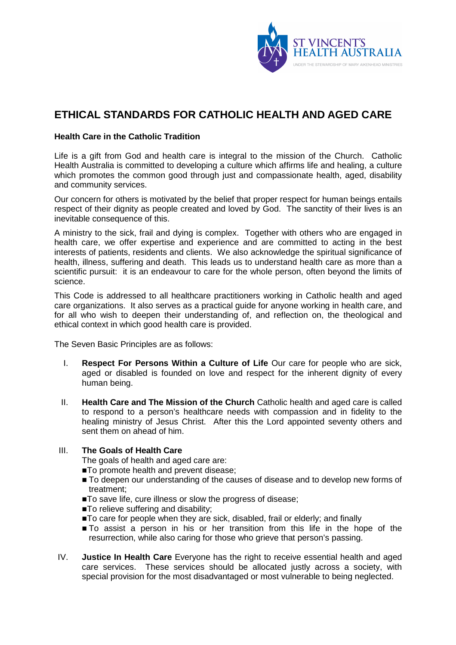

## **ETHICAL STANDARDS FOR CATHOLIC HEALTH AND AGED CARE**

## **Health Care in the Catholic Tradition**

Life is a gift from God and health care is integral to the mission of the Church. Catholic Health Australia is committed to developing a culture which affirms life and healing, a culture which promotes the common good through just and compassionate health, aged, disability and community services.

Our concern for others is motivated by the belief that proper respect for human beings entails respect of their dignity as people created and loved by God. The sanctity of their lives is an inevitable consequence of this.

A ministry to the sick, frail and dying is complex. Together with others who are engaged in health care, we offer expertise and experience and are committed to acting in the best interests of patients, residents and clients. We also acknowledge the spiritual significance of health, illness, suffering and death. This leads us to understand health care as more than a scientific pursuit: it is an endeavour to care for the whole person, often beyond the limits of science.

This Code is addressed to all healthcare practitioners working in Catholic health and aged care organizations. It also serves as a practical guide for anyone working in health care, and for all who wish to deepen their understanding of, and reflection on, the theological and ethical context in which good health care is provided.

The Seven Basic Principles are as follows:

- I. **Respect For Persons Within a Culture of Life** Our care for people who are sick, aged or disabled is founded on love and respect for the inherent dignity of every human being.
- II. **Health Care and The Mission of the Church** Catholic health and aged care is called to respond to a person's healthcare needs with compassion and in fidelity to the healing ministry of Jesus Christ. After this the Lord appointed seventy others and sent them on ahead of him.

## III. **The Goals of Health Care**

The goals of health and aged care are:

- ■To promote health and prevent disease;
- $\blacksquare$  To deepen our understanding of the causes of disease and to develop new forms of treatment;
- To save life, cure illness or slow the progress of disease;
- To relieve suffering and disability;
- To care for people when they are sick, disabled, frail or elderly; and finally
- To assist a person in his or her transition from this life in the hope of the resurrection, while also caring for those who grieve that person's passing.
- IV. **Justice In Health Care** Everyone has the right to receive essential health and aged care services. These services should be allocated justly across a society, with special provision for the most disadvantaged or most vulnerable to being neglected.